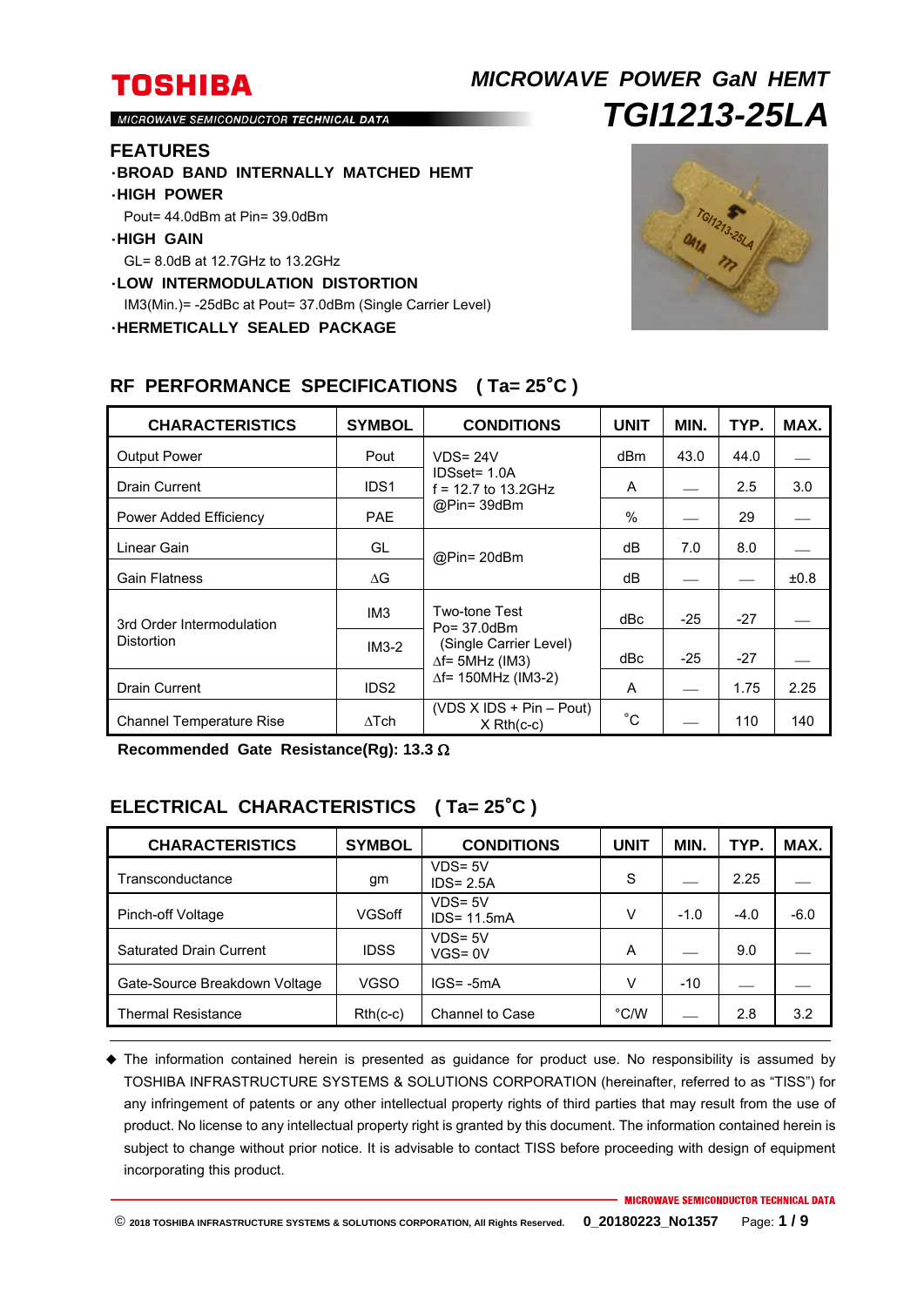# **TOSHIBA** *MICROWAVE POWER GaN HEMT TGI1213-25LA*

MICROWAVE SEMICONDUCTOR TECHNICAL DATA

#### **FEATURES**

- ・**BROAD BAND INTERNALLY MATCHED HEMT**
- ・**HIGH POWER**
- Pout= 44.0dBm at Pin= 39.0dBm

### ・**HIGH GAIN**

GL= 8.0dB at 12.7GHz to 13.2GHz

- ・**LOW INTERMODULATION DISTORTION**
- IM3(Min.)= -25dBc at Pout= 37.0dBm (Single Carrier Level)
- ・**HERMETICALLY SEALED PACKAGE**



| <b>CHARACTERISTICS</b>                  | <b>SYMBOL</b>    | <b>CONDITIONS</b>                                                                                                | <b>UNIT</b>   | MIN.  | TYP.  | MAX.      |
|-----------------------------------------|------------------|------------------------------------------------------------------------------------------------------------------|---------------|-------|-------|-----------|
| <b>Output Power</b>                     | Pout             | $VDS = 24V$<br>IDSset= 1.0A<br>$f = 12.7$ to 13.2GHz<br>@Pin= 39dBm                                              | dBm           | 43.0  | 44.0  |           |
| <b>Drain Current</b>                    | IDS1             |                                                                                                                  | A             |       | 2.5   | 3.0       |
| Power Added Efficiency                  | <b>PAE</b>       |                                                                                                                  | $\frac{0}{0}$ |       | 29    |           |
| Linear Gain                             | GL               | @Pin= 20dBm                                                                                                      | dВ            | 7.0   | 8.0   |           |
| <b>Gain Flatness</b>                    | ΛG               |                                                                                                                  | dB            |       |       | $\pm 0.8$ |
| 3rd Order Intermodulation<br>Distortion | IM <sub>3</sub>  | Two-tone Test<br>Po= 37.0dBm<br>(Single Carrier Level)<br>$\Delta f$ = 5MHz (IM3)<br>$\Delta f$ = 150MHz (IM3-2) | dBc           | $-25$ | $-27$ |           |
|                                         | $IM3-2$          |                                                                                                                  | dBc           | $-25$ | $-27$ |           |
| <b>Drain Current</b>                    | IDS <sub>2</sub> |                                                                                                                  | A             |       | 1.75  | 2.25      |
| <b>Channel Temperature Rise</b>         | $\Delta$ Tch     | $(VDS X IDs + Pin - Pout)$<br>$X$ Rth $(c-c)$                                                                    | $^{\circ}C$   |       | 110   | 140       |

### **RF PERFORMANCE SPECIFICATIONS ( Ta= 25**°**C )**

**Recommended Gate Resistance(Rg): 13.3** 

### **ELECTRICAL CHARACTERISTICS ( Ta= 25**°**C )**

| <b>CHARACTERISTICS</b>         | <b>SYMBOL</b> | <b>CONDITIONS</b>            | <b>UNIT</b> | MIN.   | TYP.   | MAX.   |
|--------------------------------|---------------|------------------------------|-------------|--------|--------|--------|
| Transconductance               | gm            | $VDS = 5V$<br>$IDS = 2.5A$   | S           |        | 2.25   |        |
| Pinch-off Voltage              | VGSoff        | $VDS = 5V$<br>$IDS = 11.5mA$ | v           | $-1.0$ | $-4.0$ | $-6.0$ |
| <b>Saturated Drain Current</b> | <b>IDSS</b>   | $VDS = 5V$<br>$VGS = 0V$     | A           |        | 9.0    |        |
| Gate-Source Breakdown Voltage  | VGSO          | $IGS = -5mA$                 | v           | $-10$  |        |        |
| Thermal Resistance             | $Rth(c-c)$    | Channel to Case              | °C/W        |        | 2.8    | 3.2    |

 The information contained herein is presented as guidance for product use. No responsibility is assumed by TOSHIBA INFRASTRUCTURE SYSTEMS & SOLUTIONS CORPORATION (hereinafter, referred to as "TISS") for any infringement of patents or any other intellectual property rights of third parties that may result from the use of product. No license to any intellectual property right is granted by this document. The information contained herein is subject to change without prior notice. It is advisable to contact TISS before proceeding with design of equipment incorporating this product.

**MICROWAVE SEMICONDUCTOR TECHNICAL DATA**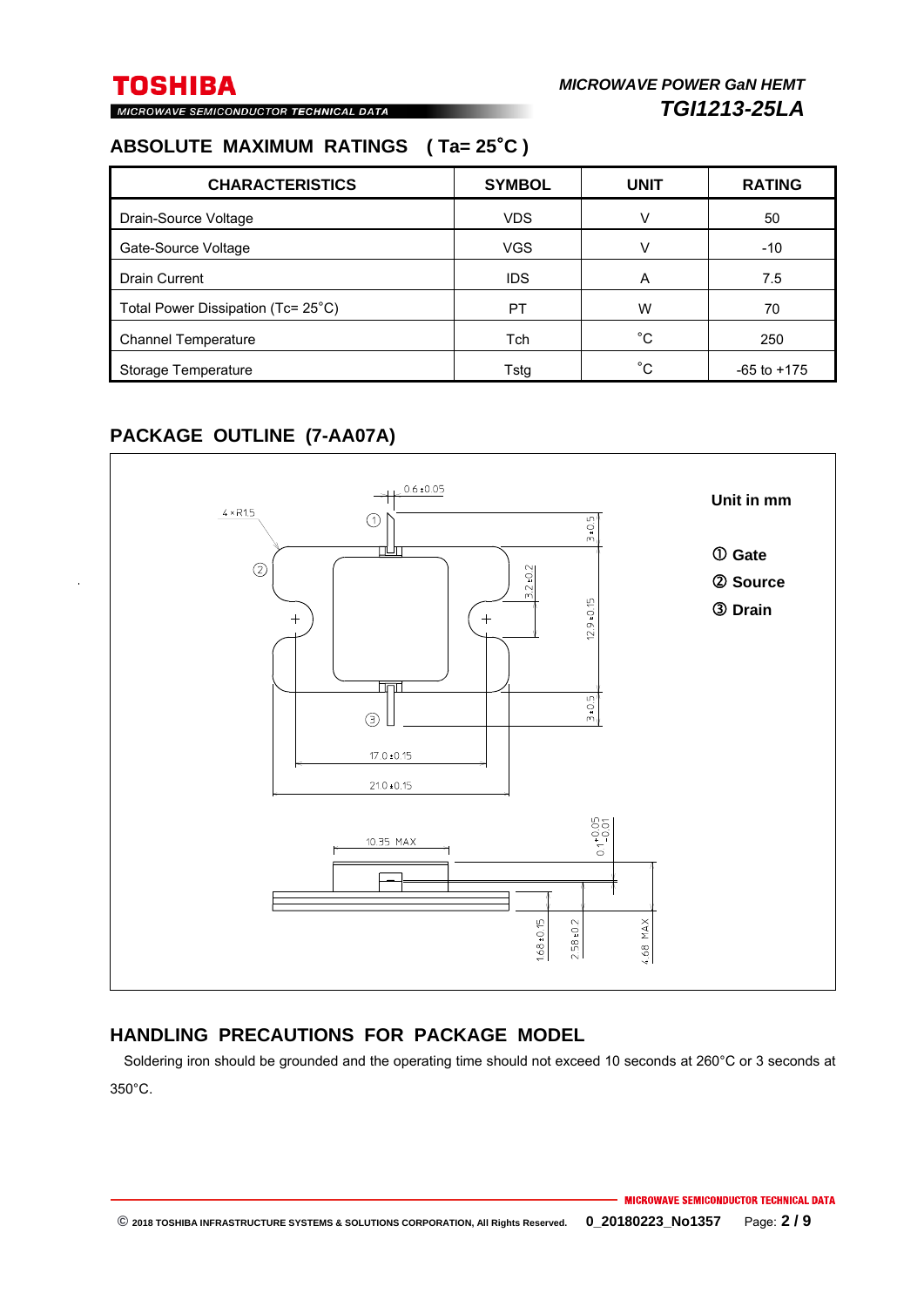MICROWAVE SEMICONDUCTOR TECHNICAL DATA

### **ABSOLUTE MAXIMUM RATINGS ( Ta= 25**°**C )**

| <b>CHARACTERISTICS</b>             | <b>SYMBOL</b> | <b>UNIT</b>  | <b>RATING</b>   |
|------------------------------------|---------------|--------------|-----------------|
| Drain-Source Voltage               | <b>VDS</b>    |              | 50              |
| Gate-Source Voltage                | <b>VGS</b>    |              | $-10$           |
| <b>Drain Current</b>               | <b>IDS</b>    | A            | 7.5             |
| Total Power Dissipation (Tc= 25°C) | PT            | W            | 70              |
| <b>Channel Temperature</b>         | Tch           | $^{\circ}$ C | 250             |
| Storage Temperature                | Tstg          | °C.          | $-65$ to $+175$ |

### **PACKAGE OUTLINE (7-AA07A)**



### **HANDLING PRECAUTIONS FOR PACKAGE MODEL**

Soldering iron should be grounded and the operating time should not exceed 10 seconds at 260°C or 3 seconds at 350°C.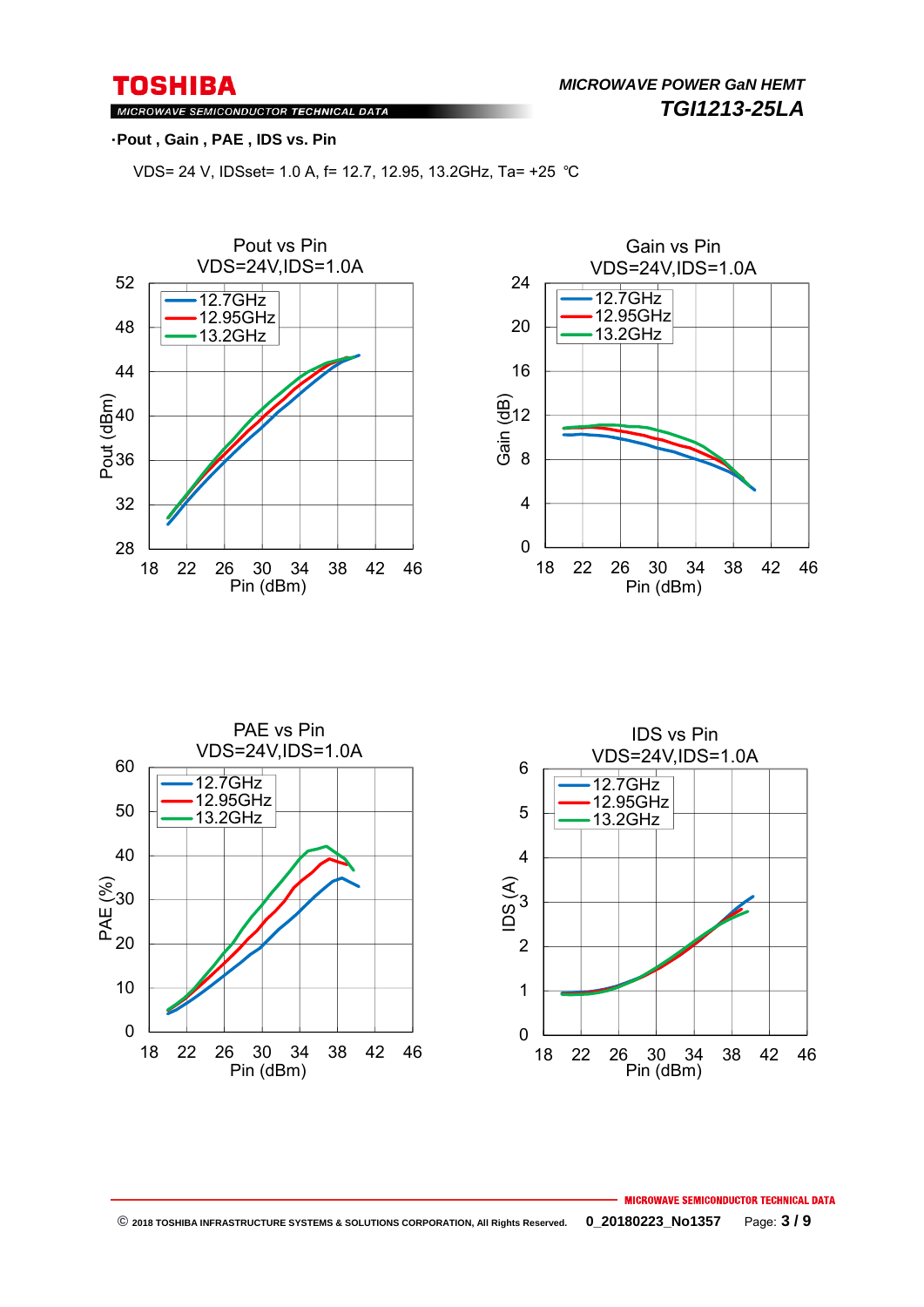MICROWAVE SEMICONDUCTOR TECHNICAL DATA

### ・**Pout , Gain , PAE , IDS vs. Pin**

VDS= 24 V, IDSset= 1.0 A, f= 12.7, 12.95, 13.2GHz, Ta= +25 ℃







MICROWAVE SEMICONDUCTOR TECHNICAL DATA  **© 2018 TOSHIBA INFRASTRUCTURE SYSTEMS & SOLUTIONS CORPORATION, All Rights Reserved. 0\_20180223\_No1357** Page: **3 / 9**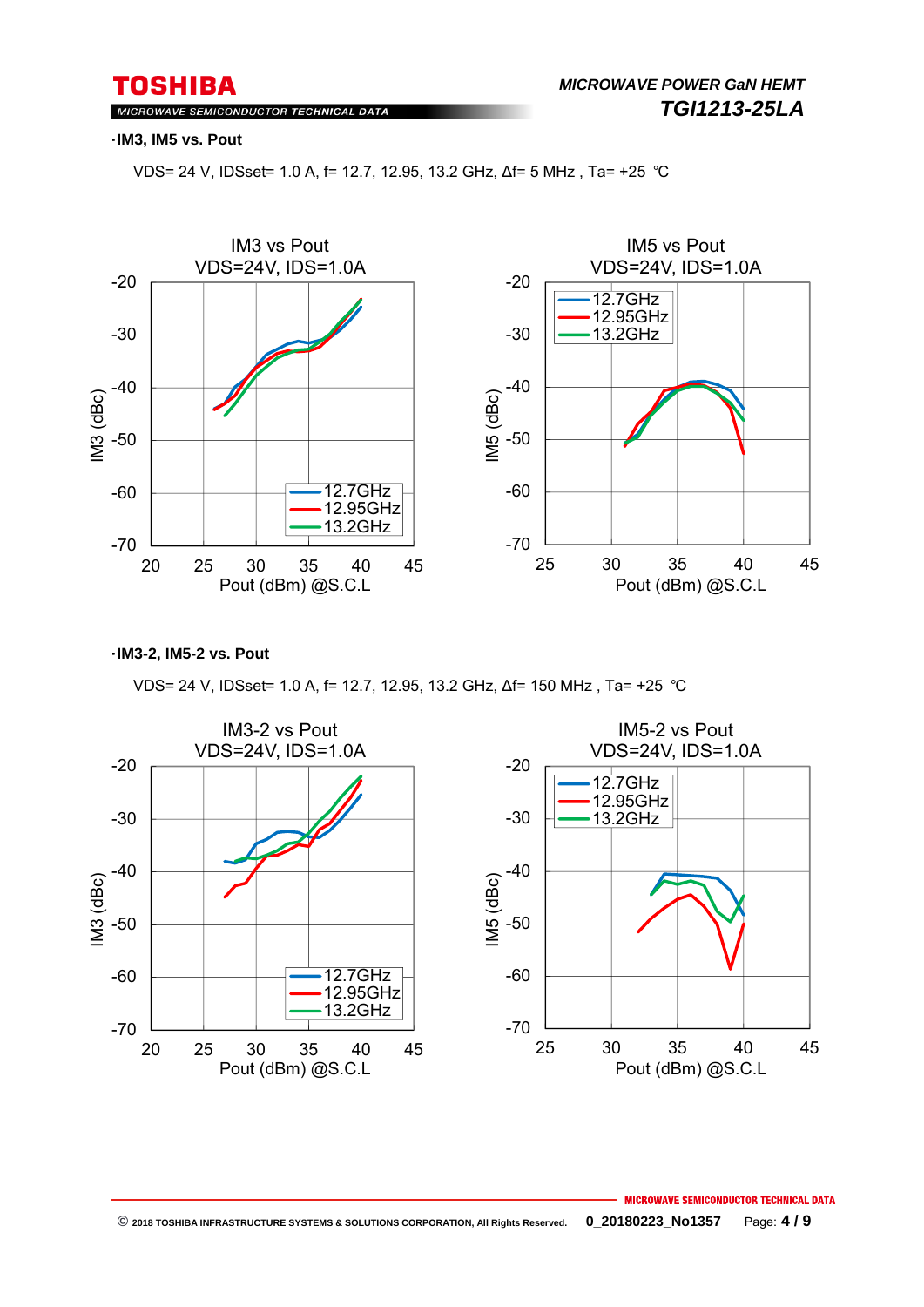MICROWAVE SEMICONDUCTOR TECHNICAL DATA

#### ・**IM3, IM5 vs. Pout**

VDS= 24 V, IDSset= 1.0 A, f= 12.7, 12.95, 13.2 GHz, ∆f= 5 MHz , Ta= +25 ℃



・**IM3-2, IM5-2 vs. Pout**

VDS= 24 V, IDSset= 1.0 A, f= 12.7, 12.95, 13.2 GHz, ∆f= 150 MHz , Ta= +25 ℃

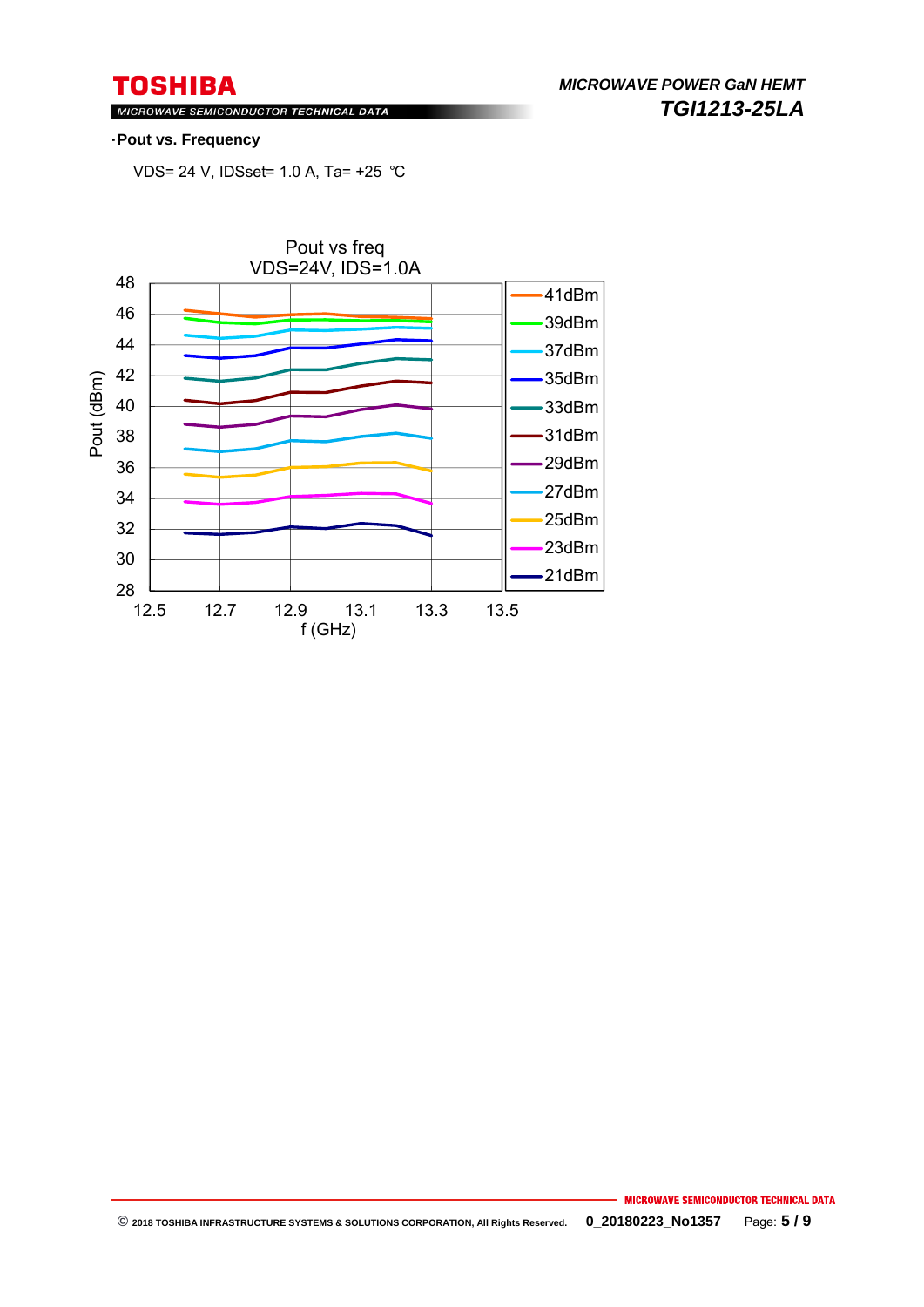*MICROWAVE POWER GaN HEMT TGI1213-25LA* 

MICROWAVE SEMICONDUCTOR TECHNICAL DATA

#### ・**Pout vs. Frequency**

VDS= 24 V, IDSset= 1.0 A, Ta= +25 ℃

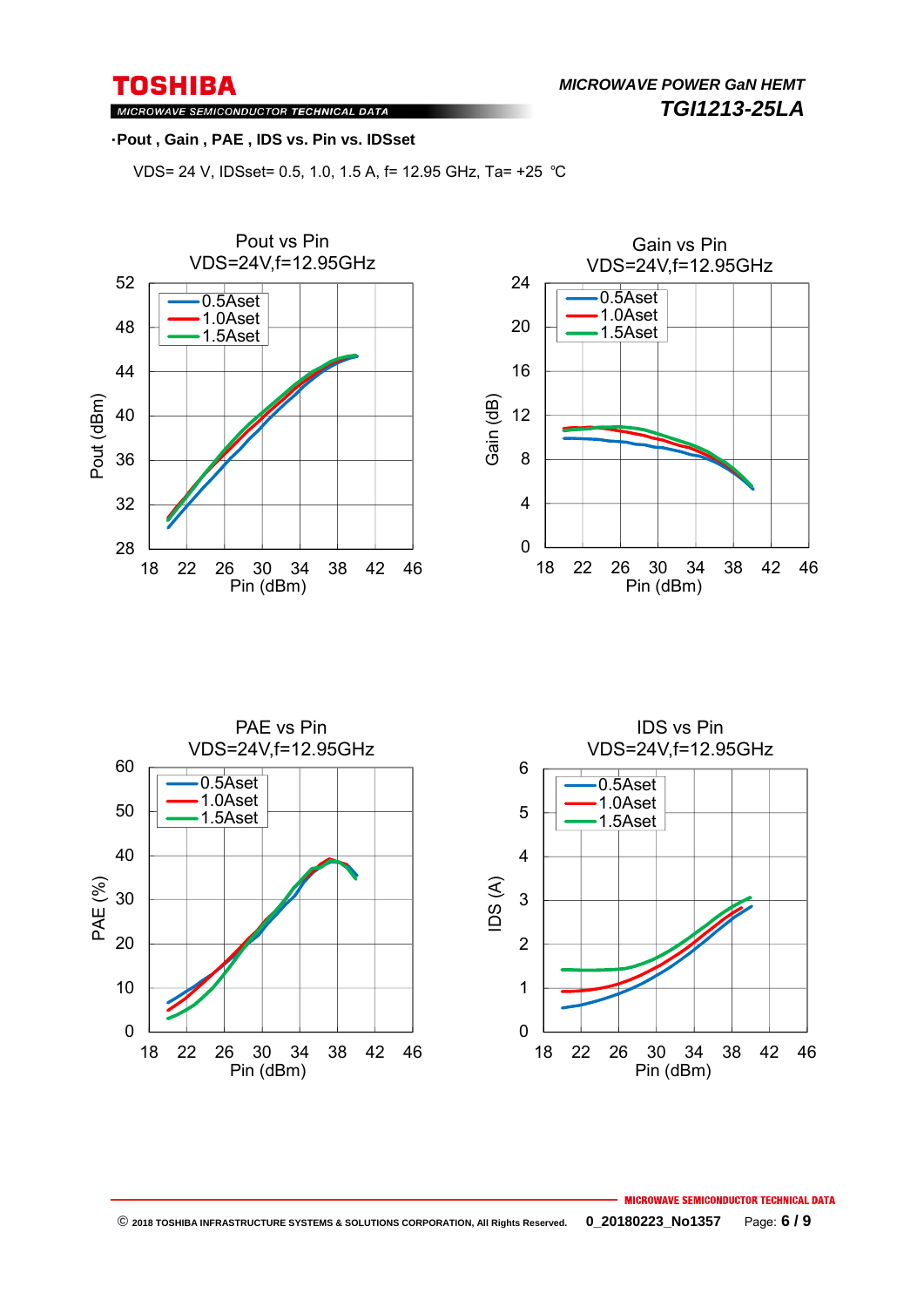*MICROWAVE POWER GaN HEMT TGI1213-25LA* 

MICROWAVE SEMICONDUCTOR TECHNICAL DATA

#### ・**Pout , Gain , PAE , IDS vs. Pin vs. IDSset**

VDS= 24 V, IDSset= 0.5, 1.0, 1.5 A, f= 12.95 GHz, Ta= +25 ℃







#### MICROWAVE SEMICONDUCTOR TECHNICAL DATA  **© 2018 TOSHIBA INFRASTRUCTURE SYSTEMS & SOLUTIONS CORPORATION, All Rights Reserved. 0\_20180223\_No1357** Page: **6 / 9**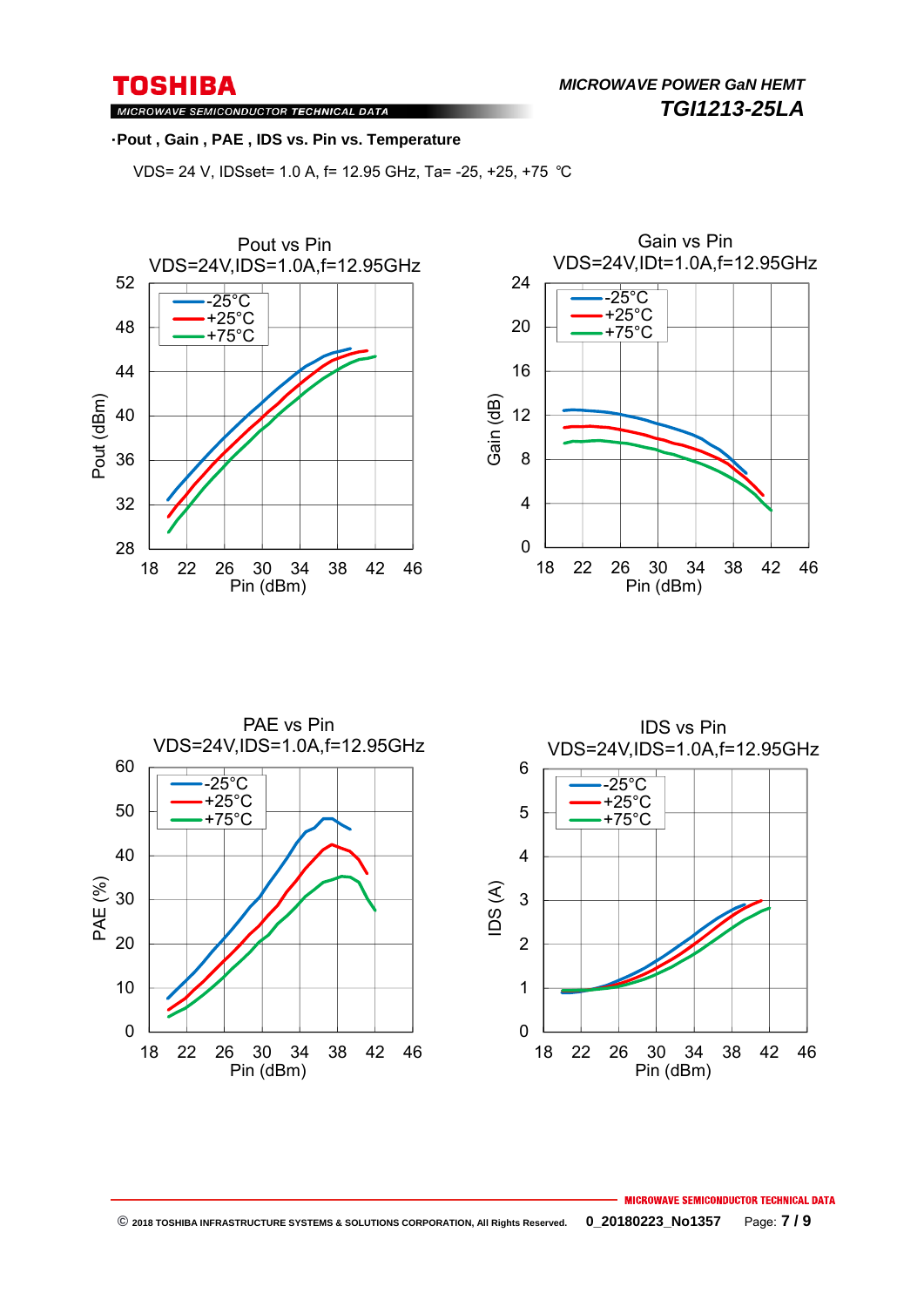*MICROWAVE POWER GaN HEMT TGI1213-25LA* 

MICROWAVE SEMICONDUCTOR TECHNICAL DATA

#### ・**Pout , Gain , PAE , IDS vs. Pin vs. Temperature**

VDS= 24 V, IDSset= 1.0 A, f= 12.95 GHz, Ta= -25, +25, +75 ℃







#### MICROWAVE SEMICONDUCTOR TECHNICAL DATA  **© 2018 TOSHIBA INFRASTRUCTURE SYSTEMS & SOLUTIONS CORPORATION, All Rights Reserved. 0\_20180223\_No1357** Page: **7 / 9**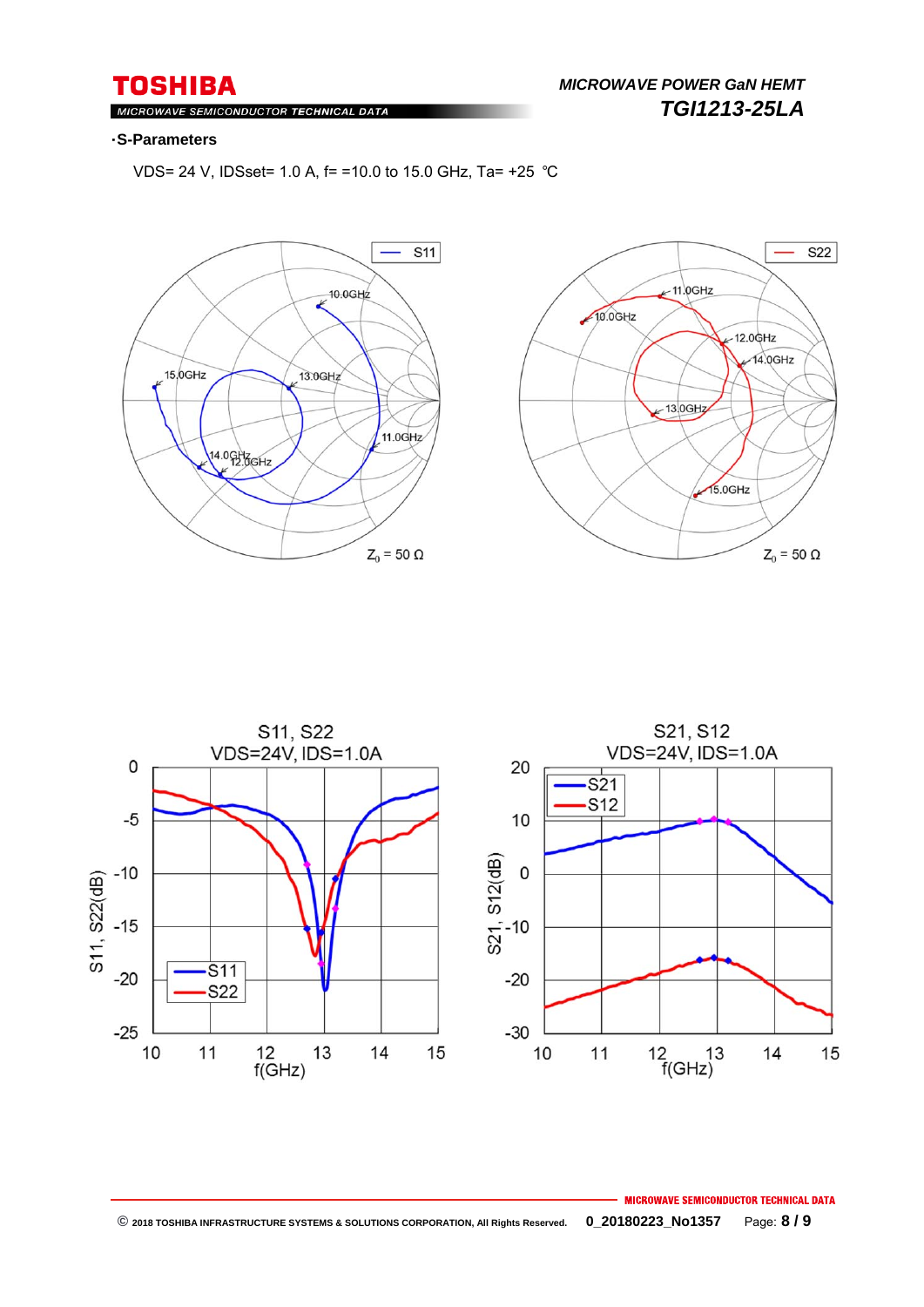### **TOSHIBA** MICROWAVE SEMICONDUCTOR TECHNICAL DATA

### ・**S-Parameters**

VDS= 24 V, IDSset= 1.0 A, f= =10.0 to 15.0 GHz, Ta= +25 ℃







### **MICROWAVE SEMICONDUCTOR TECHNICAL DATA © 2018 TOSHIBA INFRASTRUCTURE SYSTEMS & SOLUTIONS CORPORATION, All Rights Reserved. 0\_20180223\_No1357** Page: **8 / 9**